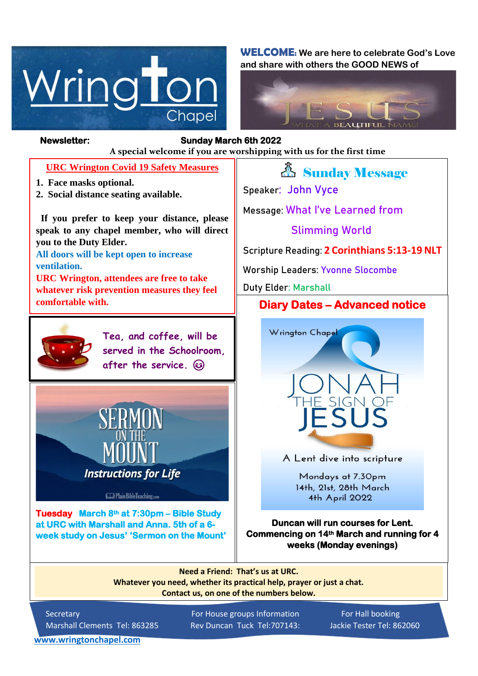

**WELCOME: We are here to celebrate God's Love and share with others the GOOD NEWS of**



#### *Figure 1ready steady* **A special welcome if you are worshipping with us for the first time Newsletter: Sunday March 6th 2022**

#### **URC Wrington Covid 19 Safety Measures**

- **1. Face masks optional.**
- **2. Social distance seating available.**

 **If you prefer to keep your distance, please speak to any chapel member, who will direct you to the Duty Elder.**

**All doors will be kept open to increase ventilation.**

**URC Wrington, attendees are free to take whatever risk prevention measures they feel comfortable with.**



**Tea, and coffee, will be served in the Schoolroom, after the service.** 



**Cap Plain BibleTeaching.com** 

**Tuesday March 8th at 7:30pm – Bible Study at URC with Marshall and Anna. 5th of a 6 week study on Jesus' 'Sermon on the Mount'** 

# *&* Sunday Message

**Speaker: John Vyce**

**Message: What I've Learned from**

## **Slimming World**

**Scripture Reading: 2 Corinthians 5:13-19 NLT**

**Worship Leaders: Yvonne Slocombe**

**Duty Elder: Marshall**

## **Diary Dates – Advanced notice**



A Lent dive into scripture

Mondays at 7.30pm 14th, 21st, 28th March 4th April 2022

**Duncan will run courses for Lent. Commencing on 14th March and running for 4 weeks (Monday evenings)** 

**Need a Friend: That's us at URC. Whatever you need, whether its practical help, prayer or just a chat. Contact us, on one of the numbers below.**

Secretary For House groups Information For Hall booking Marshall Clements Tel: 863285 Rev Duncan Tuck Tel:707143: Jackie Tester Tel: 862060

**[www.wringtonchapel.com](http://www.wringtonchapel.com/)**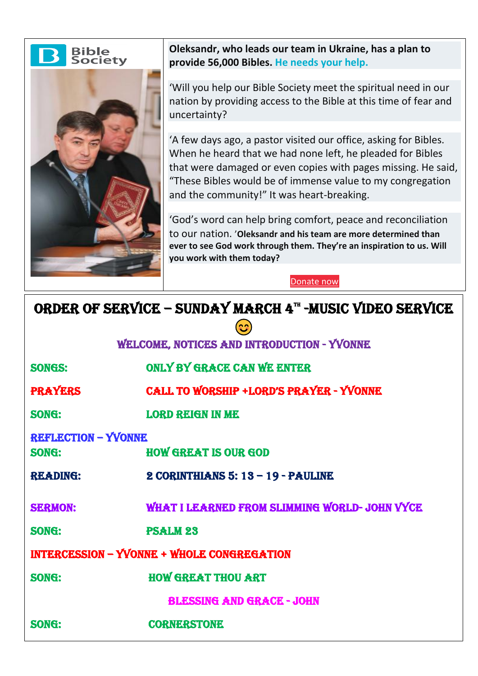



**Oleksandr, who leads our team in Ukraine, has a plan to provide 56,000 Bibles. [He needs your help.](https://www.biblesociety.org.uk/get-involved/donate/donation-process/d:50032/step-1/)**

'Will you help our Bible Society meet the spiritual need in our nation by providing access to the Bible at this time of fear and uncertainty?

'A few days ago, a pastor visited our office, asking for Bibles. When he heard that we had none left, he pleaded for Bibles that were damaged or even copies with pages missing. He said, "These Bibles would be of immense value to my congregation and the community!" It was heart-breaking.

'God's word can help bring comfort, peace and reconciliation to our nation. '**Oleksandr and his team are more determined than ever to see God work through them. They're an inspiration to us. Will you work with them today?**

[Donate](https://www.biblesociety.org.uk/get-involved/donate/donation-process/d:50032/step-1/) now

# ORDER OF SERVICE – SUNDAY MARCH 4<sup>th</sup> -MUSIC VIDEO SERVICE

| ีลว                                               |                                                |
|---------------------------------------------------|------------------------------------------------|
| WELCOME, NOTICES AND INTRODUCTION - YVONNE        |                                                |
| <b>SONGS:</b>                                     | <b>ONLY BY GRACE CAN WE ENTER</b>              |
| <b>PRAYERS</b>                                    | <b>CALL TO WORSHIP +LORD'S PRAYER - YVONNE</b> |
| SONG:                                             | <b>LORD REIGN IN ME</b>                        |
| <b>REFLECTION - YVONNE</b>                        |                                                |
| SONG:                                             | <b>HOW GREAT IS OUR GOD</b>                    |
| <b>READING:</b>                                   | $2$ CORINTHIANS 5: $13 - 19 -$ PAULINE         |
| <b>SERMON:</b>                                    | WHAT I LEARNED FROM SLIMMING WORLD- JOHN VYCE  |
| <b>SONG:</b>                                      | <b>PSALM 23</b>                                |
| <b>INTERCESSION - YVONNE + WHOLE CONGREGATION</b> |                                                |
| SONG:                                             | <b>HOW GREAT THOU ART</b>                      |
| <b>BLESSING AND GRACE - JOHN</b>                  |                                                |
| SONG:                                             | <b>CORNERSTONE</b>                             |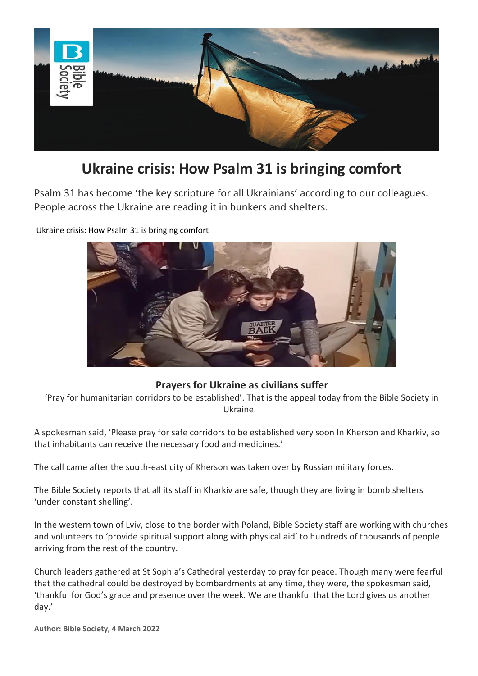

# **Ukraine crisis: How Psalm 31 is bringing comfort**

Psalm 31 has become 'the key scripture for all Ukrainians' according to our colleagues. People across the Ukraine are reading it in bunkers and shelters.



Ukraine crisis: How Psalm 31 is bringing comfort

### **Prayers for Ukraine as civilians suffer**

'Pray for humanitarian corridors to be established'. That is the appeal today from the Bible Society in Ukraine.

A spokesman said, 'Please pray for safe corridors to be established very soon In Kherson and Kharkiv, so that inhabitants can receive the necessary food and medicines.'

The call came after the south-east city of Kherson was taken over by Russian military forces.

The Bible Society reports that all its staff in Kharkiv are safe, though they are living in bomb shelters 'under constant shelling'.

In the western town of Lviv, close to the border with Poland, Bible Society staff are working with churches and volunteers to 'provide spiritual support along with physical aid' to hundreds of thousands of people arriving from the rest of the country.

Church leaders gathered at St Sophia's Cathedral yesterday to pray for peace. Though many were fearful that the cathedral could be destroyed by bombardments at any time, they were, the spokesman said, 'thankful for God's grace and presence over the week. We are thankful that the Lord gives us another day.'

**Author: Bible Society, 4 March 2022**